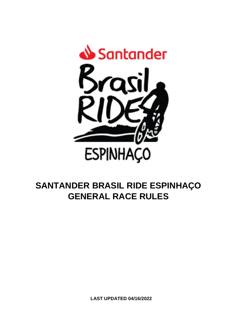

# **SANTANDER BRASIL RIDE ESPINHAÇO GENERAL RACE RULES**

**LAST UPDATED 04/16/2022**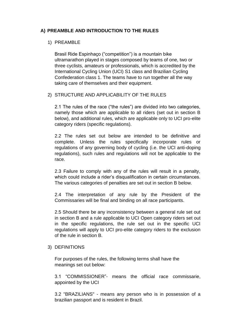# **A) PREAMBLE AND INTRODUCTION TO THE RULES**

# 1) PREAMBLE

Brasil Ride Espinhaço ("competition") is a mountain bike ultramarathon played in stages composed by teams of one, two or three cyclists, amateurs or professionals, which is accredited by the International Cycling Union (UCI) S1 class and Brazilian Cycling Confederation class 1. The teams have to run together all the way taking care of themselves and their equipment.

# 2) STRUCTURE AND APPLICABILITY OF THE RULES

2.1 The rules of the race ("the rules") are divided into two categories, namely those which are applicable to all riders (set out in section B below), and additional rules, which are applicable only to UCI pro-elite category riders (specific regulations).

2.2 The rules set out below are intended to be definitive and complete. Unless the rules specifically incorporate rules or regulations of any governing body of cycling (i.e. the UCI anti-doping regulations), such rules and regulations will not be applicable to the race.

2.3 Failure to comply with any of the rules will result in a penalty, which could include a rider's disqualification in certain circumstances. The various categories of penalties are set out in section B below.

2.4 The interpretation of any rule by the President of the Commissaries will be final and binding on all race participants.

2.5 Should there be any inconsistency between a general rule set out in section B and a rule applicable to UCI Open category riders set out in the specific regulations, the rule set out in the specific UCI regulations will apply to UCI pro-elite category riders to the exclusion of the rule in section B.

## 3) DEFINITIONS

For purposes of the rules, the following terms shall have the meanings set out below:

3.1 "COMMISSIONER"- means the official race commissarie, appointed by the UCI

3.2 "BRAZILIANS" - means any person who is in possession of a brazilian passport and is resident in Brazil.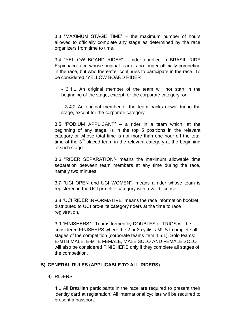3.3 "MAXIMUM STAGE TIME" – the maximum number of hours allowed to officially complete any stage as determined by the race organizers from time to time.

3.4 "YELLOW BOARD RIDER" – rider enrolled in BRASIL RIDE Espinhaço race whose original team is no longer officially competing in the race, but who thereafter continues to participate in the race. To be considered "YELLOW BOARD RIDER":

- 3.4.1 An original member of the team will not start in the beginning of the stage, except for the corporate category, or;

- 3.4.2 An original member of the team backs down during the stage, except for the corporate category

3.5 "PODIUM APPLICANT" – a rider in a team which, at the beginning of any stage, is in the top 5 positions in the relevant category or whose total time is not more than one hour off the total time of the  $3<sup>rd</sup>$  placed team in the relevant category at the beginning of such stage.

3.6 "RIDER SEPARATION"- means the maximum allowable time separation between team members at any time during the race, namely two minutes.

3.7 "UCI OPEN and UCI WOMEN"- means a rider whose team is registered in the UCI pro-elite category with a valid license.

3.8 "UCI RIDER INFORMATIVE" means the race information booklet distributed to UCI pro-elite category riders at the time to race registration.

3.9 "FINISHERS" - Teams formed by DOUBLES or TRIOS will be considered FINISHERS where the 2 or 3 cyclists MUST complete all stages of the competition (corporate teams item 4.5.1). Solo teams: E-MTB MALE, E-MTB FEMALE, MALE SOLO AND FEMALE SOLO will also be considered FINISHERS only if they complete all stages of the competition.

## **B) GENERAL RULES (APPLICABLE TO ALL RIDERS)**

## 4) RIDERS

4.1 All Brazilian participants in the race are required to present their identity card at registration. All international cyclists will be required to present a passport.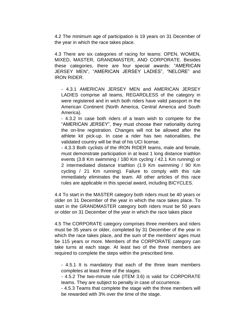4.2 The minimum age of participation is 19 years on 31 December of the year in which the race takes place.

4.3 There are six categories of racing for teams: OPEN, WOMEN, MIXED, MASTER, GRANDMASTER, AND CORPORATE. Besides these categories, there are four special awards: "AMERICAN JERSEY MEN", "AMERICAN JERSEY LADIES", "NELORE" and IRON RIDER.

- 4.3.1 AMERICAN JERSEY MEN and AMERICAN JERSEY LADIES comprise all teams, REGARDLESS of the category in were registered and in wich both riders have valid passport in the American Continent (North America, Central America and South America).

- 4.3.2 In case both riders of a team wish to compete for the "AMERICAN JERSEY", they must choose their nationality during the on-line registration. Changes will not be allowed after the athlete kit pick-up. In case a rider has two nationalities, the validated country will be that of his UCI license.

- 4.3.3 Both cyclists of the IRON RIDER teams, male and female, must demonstrate participation in at least 1 long distance triathlon events (3.8 Km swimming / 180 Km cycling / 42.1 Km running) or 2 intermediated distance triathlon (1.9 Km swimming / 90 Km cycling / 21 Km running). Failure to comply with this rule immediately eliminates the team. All other articles of this race rules are applicable in this special award, including BICYCLES.

4.4 To start in the MASTER category both riders must be 40 years or older on 31 December of the year in which the race takes place. To start in the GRANDMASTER category both riders must be 50 years or older on 31 December of the year in which the race takes place

4.5 The CORPORATE category comprises three members and riders must be 35 years or older, completed by 31 December of the year in which the race takes place, and the sum of the members' ages must be 115 years or more. Members of the CORPORATE category can take turns at each stage. At least two of the three members are required to complete the steps within the prescribed time.

- 4.5.1 It is mandatory that each of the three team members completes at least three of the stages.

- 4.5.2 The two-minute rule (ITEM 3.6) is valid for CORPORATE teams. They are subject to penalty in case of occurrence.

- 4.5.3 Teams that complete the stage with the three members will be rewarded with 3% over the time of the stage.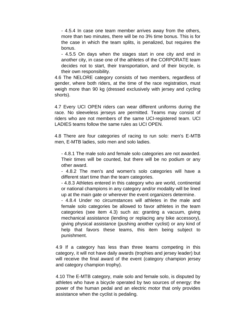- 4.5.4 In case one team member arrives away from the others, more than two minutes, there will be no 3% time bonus. This is for the case in which the team splits, is penalized, but requires the bonus.

- 4.5.5 On days when the stages start in one city and end in another city, in case one of the athletes of the CORPORATE team decides not to start, their transportation, and of their bicycle, is their own responsibility.

4.6 The NELORE category consists of two members, regardless of gender, where both riders, at the time of the race registration, must weigh more than 90 kg (dressed exclusively with jersey and cycling shorts).

4.7 Every UCI OPEN riders can wear different uniforms during the race. No sleeveless jerseys are permitted. Teams may consist of riders who are not members of the same UCI-registered team. UCI LADIES teams follow the same rules as UCI OPEN.

4.8 There are four categories of racing to run solo: men's E-MTB men, E-MTB ladies, solo men and solo ladies.

- 4.8.1 The male solo and female solo categories are not awarded. Their times will be counted, but there will be no podium or any other award.

- 4.8.2 The men's and women's solo categories will have a different start time than the team categories.

- 4.8.3 Athletes entered in this category who are world, continental or national champions in any category and/or modality will be lined up at the main gate or wherever the event organizers determine.

- 4.8.4 Under no circumstances will athletes in the male and female solo categories be allowed to favor athletes in the team categories (see item 4.3) such as: granting a vacuum, giving mechanical assistance (lending or replacing any bike accessory), giving physical assistance (pushing another cyclist) or any kind of help that favors these teams, this item being subject to punishment.

4.9 If a category has less than three teams competing in this category, it will not have daily awards (trophies and jersey leader) but will receive the final award of the event (category champion jersey and category champion trophy).

4.10 The E-MTB category, male solo and female solo, is disputed by athletes who have a bicycle operated by two sources of energy: the power of the human pedal and an electric motor that only provides assistance when the cyclist is pedaling.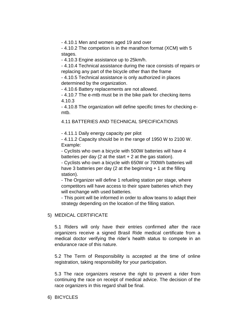- 4.10.1 Men and women aged 19 and over

- 4.10.2 The competion is in the marathon format (XCM) with 5 stages.

- 4.10.3 Engine assistance up to 25km/h.

- 4.10.4 Technical assistance during the race consists of repairs or replacing any part of the bicycle other than the frame

- 4.10.5 Technical assistance is only authorized in places determined by the organization.

- 4.10.6 Battery replacements are not allowed.

- 4.10.7 The e-mtb must be in the bike park for checking items 4.10.3

- 4.10.8 The organization will define specific times for checking emtb.

4.11 BATTERIES AND TECHNICAL SPECIFICATIONS

- 4.11.1 Daily energy capacity per pilot

- 4.11.2 Capacity should be in the range of 1950 W to 2100 W. Example:

- Cyclists who own a bicycle with 500W batteries will have 4 batteries per day (2 at the start  $+ 2$  at the gas station).

- Cyclists who own a bicycle with 650W or 700Wh batteries will have 3 batteries per day (2 at the beginning  $+1$  at the filling station).

- The Organizer will define 1 refueling station per stage, where competitors will have access to their spare batteries which they will exchange with used batteries.

- This point will be informed in order to allow teams to adapt their strategy depending on the location of the filling station.

## 5) MEDICAL CERTIFICATE

5.1 Riders will only have their entries confirmed after the race organizers receive a signed Brasil Ride medical certificate from a medical doctor verifying the rider"s health status to compete in an endurance race of this nature.

5.2 The Term of Responsibility is accepted at the time of online registration, taking responsibility for your participation.

5.3 The race organizers reserve the right to prevent a rider from continuing the race on receipt of medical advice. The decision of the race organizers in this regard shall be final.

#### 6) BICYCLES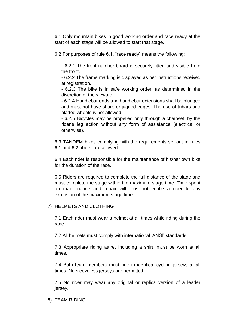6.1 Only mountain bikes in good working order and race ready at the start of each stage will be allowed to start that stage.

6.2 For purposes of rule 6.1, "race ready" means the following:

- 6.2.1 The front number board is securely fitted and visible from the front.

- 6.2.2 The frame marking is displayed as per instructions received at registration.

- 6.2.3 The bike is in safe working order, as determined in the discretion of the steward.

- 6.2.4 Handlebar ends and handlebar extensions shall be plugged and must not have sharp or jagged edges. The use of tribars and bladed wheels is not allowed.

- 6.2.5 Bicycles may be propelled only through a chainset, by the rider"s leg action without any form of assistance (electrical or otherwise).

6.3 TANDEM bikes complying with the requirements set out in rules 6.1 and 6.2 above are allowed.

6.4 Each rider is responsible for the maintenance of his/her own bike for the duration of the race.

6.5 Riders are required to complete the full distance of the stage and must complete the stage within the maximum stage time. Time spent on maintenance and repair will thus not entitle a rider to any extension of the maximum stage time.

## 7) HELMETS AND CLOTHING

7.1 Each rider must wear a helmet at all times while riding during the race.

7.2 All helmets must comply with international "ANSI" standards.

7.3 Appropriate riding attire, including a shirt, must be worn at all times.

7.4 Both team members must ride in identical cycling jerseys at all times. No sleeveless jerseys are permitted.

7.5 No rider may wear any original or replica version of a leader jersey.

8) TEAM RIDING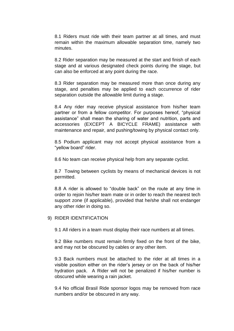8.1 Riders must ride with their team partner at all times, and must remain within the maximum allowable separation time, namely two minutes.

8.2 Rider separation may be measured at the start and finish of each stage and at various designated check points during the stage, but can also be enforced at any point during the race.

8.3 Rider separation may be measured more than once during any stage, and penalties may be applied to each occurrence of rider separation outside the allowable limit during a stage.

8.4 Any rider may receive physical assistance from his/her team partner or from a fellow competitor. For purposes hereof, "physical assistance" shall mean the sharing of water and nutrition, parts and accessories (EXCEPT A BICYCLE FRAME) assistance with maintenance and repair, and pushing/towing by physical contact only.

8.5 Podium applicant may not accept physical assistance from a "yellow board" rider.

8.6 No team can receive physical help from any separate cyclist.

8.7 Towing between cyclists by means of mechanical devices is not permitted.

8.8 A rider is allowed to "double back" on the route at any time in order to rejoin his/her team mate or in order to reach the nearest tech support zone (if applicable), provided that he/she shall not endanger any other rider in doing so.

9) RIDER IDENTIFICATION

9.1 All riders in a team must display their race numbers at all times.

9.2 Bike numbers must remain firmly fixed on the front of the bike, and may not be obscured by cables or any other item.

9.3 Back numbers must be attached to the rider at all times in a visible position either on the rider"s jersey or on the back of his/her hydration pack. A Rider will not be penalized if his/her number is obscured while wearing a rain jacket.

9.4 No official Brasil Ride sponsor logos may be removed from race numbers and/or be obscured in any way.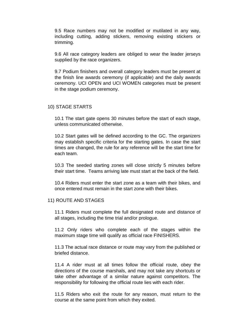9.5 Race numbers may not be modified or mutilated in any way, including cutting, adding stickers, removing existing stickers or trimming.

9.6 All race category leaders are obliged to wear the leader jerseys supplied by the race organizers.

9.7 Podium finishers and overall category leaders must be present at the finish line awards ceremony (if applicable) and the daily awards ceremony. UCI OPEN and UCI WOMEN categories must be present in the stage podium ceremony.

## 10) STAGE STARTS

10.1 The start gate opens 30 minutes before the start of each stage, unless communicated otherwise.

10.2 Start gates will be defined according to the GC. The organizers may establish specific criteria for the starting gates. In case the start times are changed, the rule for any reference will be the start time for each team.

10.3 The seeded starting zones will close strictly 5 minutes before their start time. Teams arriving late must start at the back of the field.

10.4 Riders must enter the start zone as a team with their bikes, and once entered must remain in the start zone with their bikes.

## 11) ROUTE AND STAGES

11.1 Riders must complete the full designated route and distance of all stages, including the time trial and/or prologue.

11.2 Only riders who complete each of the stages within the maximum stage time will qualify as official race FINISHERS.

11.3 The actual race distance or route may vary from the published or briefed distance.

11.4 A rider must at all times follow the official route, obey the directions of the course marshals, and may not take any shortcuts or take other advantage of a similar nature against competitors. The responsibility for following the official route lies with each rider.

11.5 Riders who exit the route for any reason, must return to the course at the same point from which they exited.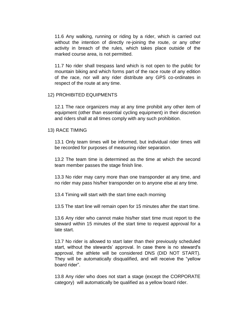11.6 Any walking, running or riding by a rider, which is carried out without the intention of directly re-joining the route, or any other activity in breach of the rules, which takes place outside of the marked course area, is not permitted.

11.7 No rider shall trespass land which is not open to the public for mountain biking and which forms part of the race route of any edition of the race, nor will any rider distribute any GPS co-ordinates in respect of the route at any time.

#### 12) PROHIBITED EQUIPMENTS

12.1 The race organizers may at any time prohibit any other item of equipment (other than essential cycling equipment) in their discretion and riders shall at all times comply with any such prohibition.

#### 13) RACE TIMING

13.1 Only team times will be informed, but individual rider times will be recorded for purposes of measuring rider separation.

13.2 The team time is determined as the time at which the second team member passes the stage finish line.

13.3 No rider may carry more than one transponder at any time, and no rider may pass his/her transponder on to anyone else at any time.

13.4 Timing will start with the start time each morning

13.5 The start line will remain open for 15 minutes after the start time.

13.6 Any rider who cannot make his/her start time must report to the steward within 15 minutes of the start time to request approval for a late start.

13.7 No rider is allowed to start later than their previously scheduled start, without the stewards" approval. In case there is no steward's approval, the athlete will be considered DNS (DID NOT START). They will be automatically disqualified, and will receive the "yellow board rider".

13.8 Any rider who does not start a stage (except the CORPORATE category) will automatically be qualified as a yellow board rider.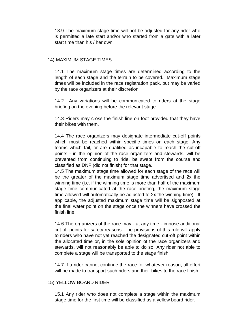13.9 The maximum stage time will not be adjusted for any rider who is permitted a late start and/or who started from a gate with a later start time than his / her own.

## 14) MAXIMUM STAGE TIMES

14.1 The maximum stage times are determined according to the length of each stage and the terrain to be covered. Maximum stage times will be included in the race registration pack, but may be varied by the race organizers at their discretion.

14.2 Any variations will be communicated to riders at the stage briefing on the evening before the relevant stage.

14.3 Riders may cross the finish line on foot provided that they have their bikes with them.

14.4 The race organizers may designate intermediate cut-off points which must be reached within specific times on each stage. Any teams which fail, or are qualified as incapable to reach the cut-off points - in the opinion of the race organizers and stewards, will be prevented from continuing to ride, be swept from the course and classified as DNF (did not finish) for that stage.

14.5 The maximum stage time allowed for each stage of the race will be the greater of the maximum stage time advertised and 2x the winning time (i.e. if the winning time is more than half of the maximum stage time communicated at the race briefing, the maximum stage time allowed will automatically be adjusted to 2x the winning time). If applicable, the adjusted maximum stage time will be signposted at the final water point on the stage once the winners have crossed the finish line.

14.6 The organizers of the race may - at any time - impose additional cut-off points for safety reasons. The provisions of this rule will apply to riders who have not yet reached the designated cut-off point within the allocated time or, in the sole opinion of the race organizers and stewards, will not reasonably be able to do so. Any rider not able to complete a stage will be transported to the stage finish.

14.7 If a rider cannot continue the race for whatever reason, all effort will be made to transport such riders and their bikes to the race finish.

#### 15) YELLOW BOARD RIDER

15.1 Any rider who does not complete a stage within the maximum stage time for the first time will be classified as a yellow board rider.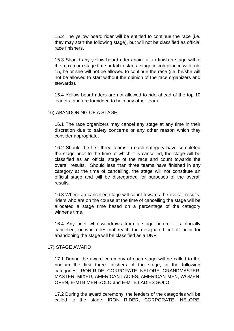15.2 The yellow board rider will be entitled to continue the race (i.e. they may start the following stage), but will not be classified as official race finishers.

15.3 Should any yellow board rider again fail to finish a stage within the maximum stage time or fail to start a stage in compliance with rule 15, he or she will not be allowed to continue the race (i.e. he/she will not be allowed to start without the opinion of the race organizers and stewards).

15.4 Yellow board riders are not allowed to ride ahead of the top 10 leaders, and are forbidden to help any other team.

#### 16) ABANDONING OF A STAGE

16.1 The race organizers may cancel any stage at any time in their discretion due to safety concerns or any other reason which they consider appropriate.

16.2 Should the first three teams in each category have completed the stage prior to the time at which it is cancelled, the stage will be classified as an official stage of the race and count towards the overall results. Should less than three teams have finished in any category at the time of cancelling, the stage will not constitute an official stage and will be disregarded for purposes of the overall results.

16.3 Where an cancelled stage will count towards the overall results, riders who are on the course at the time of cancelling the stage will be allocated a stage time based on a percentage of the category winner's time

16.4 Any rider who withdraws from a stage before it is officially cancelled, or who does not reach the designated cut-off point for abandoning the stage will be classified as a DNF.

#### 17) STAGE AWARD

17.1 During the award ceremony of each stage will be called to the podium the first three finishers of the stage, in the following categories: IRON RIDE, CORPORATE, NELORE, GRANDMASTER, MASTER, MIXED, AMERICAN LADIES, AMERICAN MEN, WOMEN, OPEN, E-MTB MEN SOLO and E-MTB LADIES SOLO.

17.2 During the award ceremony, the leaders of the categories will be called to the stage: IRON RIDER, CORPORATE, NELORE,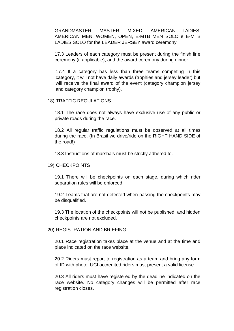GRANDMASTER, MASTER, MIXED, AMERICAN LADIES, AMERICAN MEN, WOMEN, OPEN, E-MTB MEN SOLO e E-MTB LADIES SOLO for the LEADER JERSEY award ceremony.

17.3 Leaders of each category must be present during the finish line ceremony (if applicable), and the award ceremony during dinner.

17.4 If a category has less than three teams competing in this category, it will not have daily awards (trophies and jersey leader) but will receive the final award of the event (category champion jersey and category champion trophy).

## 18) TRAFFIC REGULATIONS

18.1 The race does not always have exclusive use of any public or private roads during the race.

18.2 All regular traffic regulations must be observed at all times during the race. (In Brasil we drive/ride on the RIGHT HAND SIDE of the road!)

18.3 Instructions of marshals must be strictly adhered to.

#### 19) CHECKPOINTS

19.1 There will be checkpoints on each stage, during which rider separation rules will be enforced.

19.2 Teams that are not detected when passing the checkpoints may be disqualified.

19.3 The location of the checkpoints will not be published, and hidden checkpoints are not excluded.

#### 20) REGISTRATION AND BRIEFING

20.1 Race registration takes place at the venue and at the time and place indicated on the race website.

20.2 Riders must report to registration as a team and bring any form of ID with photo. UCI accredited riders must present a valid license.

20.3 All riders must have registered by the deadline indicated on the race website. No category changes will be permitted after race registration closes.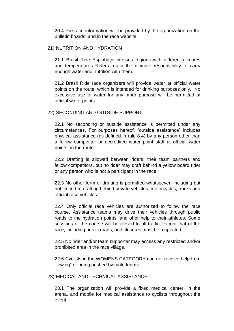20.4 Pre-race information will be provided by the organization on the bulletin boards, and in the race website.

## 21) NUTRITION AND HYDRATION

21.1 Brasil Ride Espinhaço crosses regions with different climates and temperatures Riders retain the ultimate responsibility to carry enough water and nutrition with them.

21.2 Brasil Ride race organizers will provide water at official water points on the route, which is intended for drinking purposes only. No excessive use of water for any other purpose will be permitted at official water points.

# 22) SECONDING AND OUTSIDE SUPPORT

22.1 No seconding or outside assistance is permitted under any circumstances. For purposes hereof, "outside assistance" includes physical assistance (as defined in rule 8.4) by any person other than a fellow competitor or accredited water point staff at official water points on the route.

22.2 Drafting is allowed between riders, their team partners and fellow competitors, but no rider may draft behind a yellow board rider or any person who is not a participant in the race.

22.3 No other form of drafting is permitted whatsoever, including but not limited to drafting behind private vehicles, motorcycles, trucks and official race vehicles.

22.4 Only official race vehicles are authorized to follow the race course. Assistance teams may drive their vehicles through public roads to the hydration points, and offer help to their athletes. Some sessions of the course will be closed to all traffic, except that of the race, including public roads, and closures must be respected.

22.5 No rider and/or team supporter may access any restricted and/or prohibited area in the race village.

22.6 Cyclists in the WOMENS CATEGORY can not receive help from "towing" or being pushed by male teams.

## 23) MEDICAL AND TECHNICAL ASSISTANCE

23.1 The organization will provide a fixed medical center, in the arena, and mobile for medical assistance to cyclists throughout the event.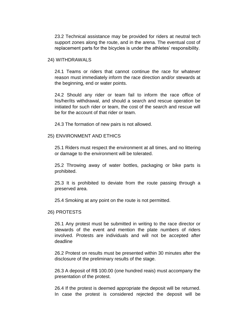23.2 Technical assistance may be provided for riders at neutral tech support zones along the route, and in the arena. The eventual cost of replacement parts for the bicycles is under the athletes' responsibility.

#### 24) WITHDRAWALS

24.1 Teams or riders that cannot continue the race for whatever reason must immediately inform the race direction and/or stewards at the beginning, end or water points.

24.2 Should any rider or team fail to inform the race office of his/her/its withdrawal, and should a search and rescue operation be initiated for such rider or team, the cost of the search and rescue will be for the account of that rider or team.

24.3 The formation of new pairs is not allowed.

#### 25) ENVIRONMENT AND ETHICS

25.1 Riders must respect the environment at all times, and no littering or damage to the environment will be tolerated.

25.2 Throwing away of water bottles, packaging or bike parts is prohibited.

25.3 It is prohibited to deviate from the route passing through a preserved area.

25.4 Smoking at any point on the route is not permitted.

#### 26) PROTESTS

26.1 Any protest must be submitted in writing to the race director or stewards of the event and mention the plate numbers of riders involved. Protests are individuals and will not be accepted after deadline

26.2 Protest on results must be presented within 30 minutes after the disclosure of the preliminary results of the stage.

26.3 A deposit of R\$ 100.00 (one hundred reais) must accompany the presentation of the protest.

26.4 If the protest is deemed appropriate the deposit will be returned. In case the protest is considered rejected the deposit will be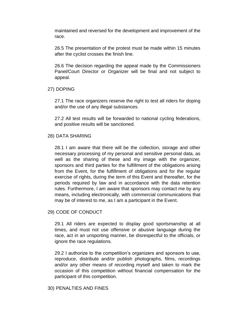maintained and reversed for the development and improvement of the race.

26.5 The presentation of the protest must be made within 15 minutes after the cyclist crosses the finish line.

26.6 The decision regarding the appeal made by the Commissioners Panel/Court Director or Organizer will be final and not subject to appeal.

## 27) DOPING

27.1 The race organizers reserve the right to test all riders for doping and/or the use of any illegal substances.

27.2 All test results will be forwarded to national cycling federations, and positive results will be sanctioned.

## 28) DATA SHARING

28.1 I am aware that there will be the collection, storage and other necessary processing of my personal and sensitive personal data, as well as the sharing of these and my image with the organizer, sponsors and third parties for the fulfillment of the obligations arising from the Event, for the fulfillment of obligations and for the regular exercise of rights, during the term of this Event and thereafter, for the periods required by law and in accordance with the data retention rules. Furthermore, I am aware that sponsors may contact me by any means, including electronically, with commercial communications that may be of interest to me, as I am a participant in the Event.

## 29) CODE OF CONDUCT

29.1 All riders are expected to display good sportsmanship at all times, and must not use offensive or abusive language during the race, act in an unsporting manner, be disrespectful to the officials, or ignore the race regulations.

29.2 I authorize to the competition"s organizers and sponsors to use, reproduce, distribute and/or publish photographs, films, recordings and/or any other means of recording myself and taken to mark the occasion of this competition without financial compensation for the participant of this competition.

## 30) PENALTIES AND FINES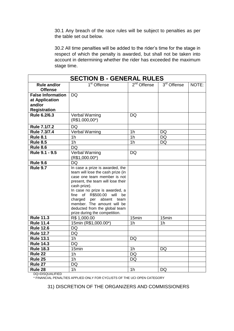30.1 Any breach of the race rules will be subject to penalties as per the table set out below.

30.2 All time penalties will be added to the rider"s time for the stage in respect of which the penalty is awarded, but shall not be taken into account in determining whether the rider has exceeded the maximum stage time.

| <b>SECTION B - GENERAL RULES</b>     |                                                                                                                                                                                                                                                                                                                                                                   |                        |                |       |
|--------------------------------------|-------------------------------------------------------------------------------------------------------------------------------------------------------------------------------------------------------------------------------------------------------------------------------------------------------------------------------------------------------------------|------------------------|----------------|-------|
| <b>Rule and/or</b><br><b>Offense</b> | $1st$ Offense                                                                                                                                                                                                                                                                                                                                                     | $2nd$ Offense          | $3rd$ Offense  | NOTE: |
| <b>False Information</b>             | <b>DQ</b>                                                                                                                                                                                                                                                                                                                                                         |                        |                |       |
| at Application                       |                                                                                                                                                                                                                                                                                                                                                                   |                        |                |       |
| and/or                               |                                                                                                                                                                                                                                                                                                                                                                   |                        |                |       |
| <b>Registration</b>                  |                                                                                                                                                                                                                                                                                                                                                                   |                        |                |       |
| Rule 6.2/6.3                         | Verbal Warning<br>$(R$1.000,00*)$                                                                                                                                                                                                                                                                                                                                 | DQ                     |                |       |
| Rule 7.1/7.2                         | <b>DQ</b>                                                                                                                                                                                                                                                                                                                                                         |                        |                |       |
| Rule 7.3/7.4                         | <b>Verbal Warning</b>                                                                                                                                                                                                                                                                                                                                             | $\overline{1h}$        | <b>DQ</b>      |       |
| <b>Rule 8.1</b>                      | 1 <sub>h</sub>                                                                                                                                                                                                                                                                                                                                                    | 1 <sub>h</sub>         | <b>DQ</b>      |       |
| <b>Rule 8.5</b>                      | 1 <sub>h</sub>                                                                                                                                                                                                                                                                                                                                                    | 1 <sub>h</sub>         | <b>DQ</b>      |       |
| <b>Rule 8.6</b>                      | <b>DQ</b>                                                                                                                                                                                                                                                                                                                                                         |                        |                |       |
| Rule 9.1 - 9.5                       | Verbal Warning<br>$(R$1,000.00*)$                                                                                                                                                                                                                                                                                                                                 | DQ                     |                |       |
| <b>Rule 9.6</b>                      | <b>DQ</b>                                                                                                                                                                                                                                                                                                                                                         |                        |                |       |
| <b>Rule 9.7</b>                      | In case a prize is awarded, the<br>team will lose the cash prize (in<br>case one team member is not<br>present, the team will lose their<br>cash prize).<br>In case no prize is awarded, a<br>of R\$500.00 will<br>fine<br>be<br>charged<br>absent<br>per<br>team<br>member. The amount will be<br>deducted from the global team<br>prize during the competition. |                        |                |       |
| <b>Rule 11.3</b>                     | R\$ 1,000.00                                                                                                                                                                                                                                                                                                                                                      | 15min                  | 15min          |       |
| <b>Rule 11.4</b>                     | 15min (R\$1,000.00*)                                                                                                                                                                                                                                                                                                                                              | 1 <sub>h</sub>         | 1 <sub>h</sub> |       |
| <b>Rule 12.6</b>                     | <b>DQ</b>                                                                                                                                                                                                                                                                                                                                                         |                        |                |       |
| <b>Rule 12.7</b>                     | DQ                                                                                                                                                                                                                                                                                                                                                                |                        |                |       |
| <b>Rule 13.1</b>                     | 1 <sub>h</sub>                                                                                                                                                                                                                                                                                                                                                    | DQ                     |                |       |
| <b>Rule 14.3</b>                     | DQ                                                                                                                                                                                                                                                                                                                                                                |                        |                |       |
| <b>Rule 18.3</b>                     | $\overline{1}$ 5min                                                                                                                                                                                                                                                                                                                                               | 1 <sub>h</sub>         | DQ             |       |
| Rule 22                              | 1 <sub>h</sub><br>1 <sub>h</sub>                                                                                                                                                                                                                                                                                                                                  | <b>DQ</b><br><b>DQ</b> |                |       |
| Rule 25                              |                                                                                                                                                                                                                                                                                                                                                                   |                        |                |       |
| Rule 27                              | <b>DQ</b>                                                                                                                                                                                                                                                                                                                                                         |                        |                |       |
| Rule 28                              | 1h                                                                                                                                                                                                                                                                                                                                                                | 1 <sub>h</sub>         | <b>DQ</b>      |       |

DQ=DISQUALIFIED

\* FINANCIAL PENALTIES APPLIED ONLY FOR CYCLISTS OF THE UCI OPEN CATEGORY

31) DISCRETION OF THE ORGANIZERS AND COMMISSIONERS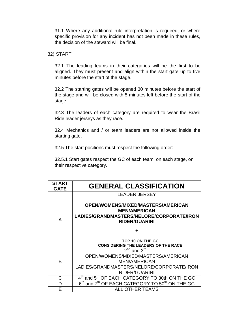31.1 Where any additional rule interpretation is required, or where specific provision for any incident has not been made in these rules, the decision of the steward will be final.

### 32) START

32.1 The leading teams in their categories will be the first to be aligned. They must present and align within the start gate up to five minutes before the start of the stage.

32.2 The starting gates will be opened 30 minutes before the start of the stage and will be closed with 5 minutes left before the start of the stage.

32.3 The leaders of each category are required to wear the Brasil Ride leader jerseys as they race.

32.4 Mechanics and / or team leaders are not allowed inside the starting gate.

32.5 The start positions must respect the following order:

32.5.1 Start gates respect the GC of each team, on each stage, on their respective category.

| <b>START</b><br><b>GATE</b> | <b>GENERAL CLASSIFICATION</b>                                                                                                  |  |  |
|-----------------------------|--------------------------------------------------------------------------------------------------------------------------------|--|--|
|                             | <b>LEADER JERSEY</b>                                                                                                           |  |  |
| A                           | OPEN/WOMENS/MIXED/MASTERS/AMERICAN<br><b>MEN/AMERICAN</b><br>LADIES/GRANDMASTERS/NELORE/CORPORATE/IRON<br><b>RIDER/GUARINI</b> |  |  |
|                             | ┿                                                                                                                              |  |  |
|                             | TOP 10 ON THE GC<br><b>CONSIDERING THE LEADERS OF THE RACE</b>                                                                 |  |  |
|                             | $2^{nd}$ and $3^{rd}$ -                                                                                                        |  |  |
| В                           | OPEN/WOMENS/MIXED/MASTERS/AMERICAN                                                                                             |  |  |
|                             | <b>MEN/AMERICAN</b>                                                                                                            |  |  |
|                             | LADIES/GRANDMASTERS/NELORE/CORPORATE/IRON                                                                                      |  |  |
|                             | <b>RIDER/GUARINI</b>                                                                                                           |  |  |
| С                           | 4 <sup>th</sup> and 5 <sup>th</sup> OF EACH CATEGORY TO 30th ON THE GC                                                         |  |  |
| D                           | and 7 <sup>th</sup> OF EACH CATEGORY TO 50 <sup>th</sup> ON THE GC<br>$6^{\sf th}$                                             |  |  |
| F                           | ALL OTHER TEAMS                                                                                                                |  |  |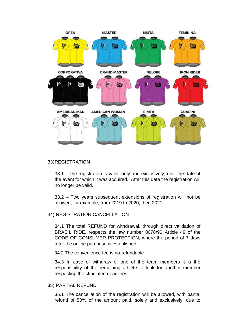

#### 33)REGISTRATION

33.1 - The registration is valid, only and exclusively, until the date of the event for which it was acquired. After this date the registration will no longer be valid.

33.2 – Two years subsequent extensions of registration will not be allowed, for example, from 2019 to 2020, then 2021.

## 34) REGISTRATION CANCELLATION

34.1 The total REFUND for withdrawal, through direct validation of BRASIL RIDE, respects the law number 8078/90 Article 49 of the CODE OF CONSUMER PROTECTION, where the period of 7 days after the online purchase is established.

34.2 The convenience fee is no-refundable

34.3 In case of withdraw of one of the team members it is the responsibility of the remaining athlete to look for another member respecting the stipulated deadlines.

#### 35) PARTIAL REFUND

35.1 The cancellation of the registration will be allowed, with partial refund of 50% of the amount paid, solely and exclusively, due to